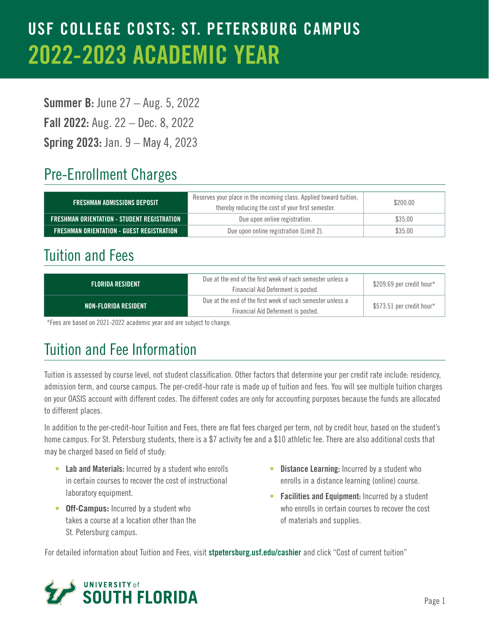## USF COLLEGE COSTS: ST. PETERSBURG CAMPUS 2022-2023 ACADEMIC YEAR

**Summer B: June 27 – Aug. 5, 2022** Fall 2022: Aug. 22 – Dec. 8, 2022 Spring 2023: Jan. 9 – May 4, 2023

### Pre-Enrollment Charges

| <b>FRESHMAN ADMISSIONS DEPOSIT</b>          | Reserves your place in the incoming class. Applied toward tuition,<br>thereby reducing the cost of your first semester. |         |
|---------------------------------------------|-------------------------------------------------------------------------------------------------------------------------|---------|
| FRESHMAN ORIENTATION - STUDENT REGISTRATION | Due upon online registration.                                                                                           | \$35.00 |
| FRESHMAN ORIENTATION - GUEST REGISTRATION   | Due upon online registration (Limit 2).                                                                                 | \$35.00 |

#### Tuition and Fees

| <b>FLORIDA RESIDENT</b> | Due at the end of the first week of each semester unless a<br>Financial Aid Deferment is posted. | \$209.69 per credit hour*  |
|-------------------------|--------------------------------------------------------------------------------------------------|----------------------------|
| NON-FLORIDA RESIDENT    | Due at the end of the first week of each semester unless a<br>Financial Aid Deferment is posted. | $$573.51$ per credit hour* |

\*Fees are based on 2021-2022 academic year and are subject to change.

### Tuition and Fee Information

Tuition is assessed by course level, not student classification. Other factors that determine your per credit rate include: residency, admission term, and course campus. The per-credit-hour rate is made up of tuition and fees. You will see multiple tuition charges on your OASIS account with different codes. The different codes are only for accounting purposes because the funds are allocated to different places.

In addition to the per-credit-hour Tuition and Fees, there are flat fees charged per term, not by credit hour, based on the student's home campus. For St. Petersburg students, there is a \$7 activity fee and a \$10 athletic fee. There are also additional costs that may be charged based on field of study:

- Lab and Materials: Incurred by a student who enrolls in certain courses to recover the cost of instructional laboratory equipment.
- **• Off-Campus:** Incurred by a student who takes a course at a location other than the St. Petersburg campus.
- Distance Learning: Incurred by a student who enrolls in a distance learning (online) course.
- Facilities and Equipment: Incurred by a student who enrolls in certain courses to recover the cost of materials and supplies.

For detailed information about Tuition and Fees, visit [stpetersburg.usf.edu/cashier](http://stpetersburg.usf.edu/cashier) and click "Cost of current tuition"

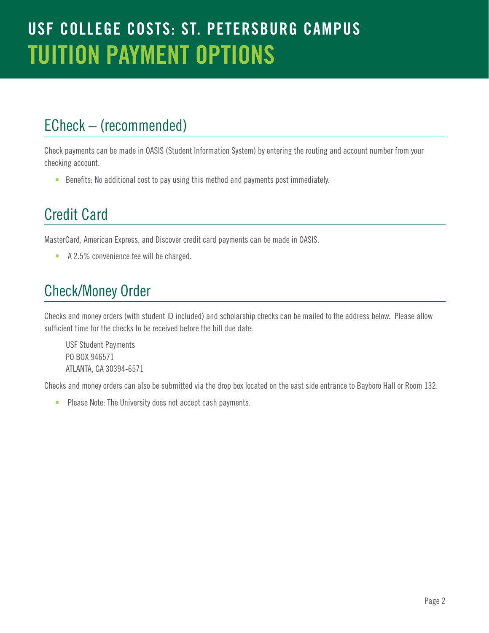#### ECheck – (recommended)

Check payments can be made in OASIS (Student Information System) by entering the routing and account number from your checking account.

• Benefits: No additional cost to pay using this method and payments post immediately.

#### Credit Card

MasterCard, American Express, and Discover credit card payments can be made in OASIS.

• A 2.5% convenience fee will be charged.

### Check/Money Order

Checks and money orders (with student ID included) and scholarship checks can be mailed to the address below. Please allow sufficient time for the checks to be received before the bill due date:

USF Student Payments PO BOX 946571 ATLANTA, GA 30394-6571

Checks and money orders can also be submitted via the drop box located on the east side entrance to Bayboro Hall or Room 132.

• Please Note: The University does not accept cash payments.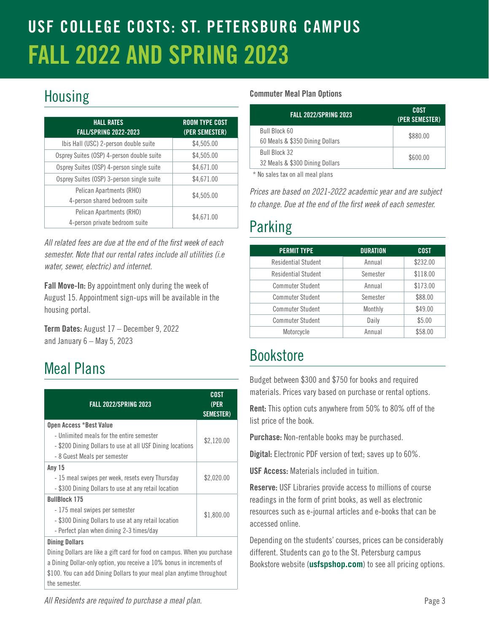## USF COLLEGE COSTS: ST. PETERSBURG CAMPUS FALL 2022 AND SPRING 2023

## Housing

| <b>HALL RATES</b><br><b>FALL/SPRING 2022-2023</b>          | <b>ROOM TYPE COST</b><br>(PER SEMESTER) |
|------------------------------------------------------------|-----------------------------------------|
| Ibis Hall (USC) 2-person double suite                      | \$4,505.00                              |
| Osprey Suites (OSP) 4-person double suite                  | \$4,505.00                              |
| Osprey Suites (OSP) 4-person single suite                  | \$4,671.00                              |
| Osprey Suites (OSP) 3-person single suite                  | \$4,671.00                              |
| Pelican Apartments (RHO)<br>4-person shared bedroom suite  | \$4,505.00                              |
| Pelican Apartments (RHO)<br>4-person private bedroom suite | \$4,671.00                              |

*All related fees are due at the end of the first week of each semester. Note that our rental rates include all utilities (i.e water, sewer, electric) and internet.* 

Fall Move-In: By appointment only during the week of August 15. Appointment sign-ups will be available in the housing portal.

Term Dates: August 17 – December 9, 2022 and January 6 – May 5, 2023

## Meal Plans

| <b>FALL 2022/SPRING 2023</b>                                                                           | COST<br>(PER<br><b>SEMESTER)</b> |
|--------------------------------------------------------------------------------------------------------|----------------------------------|
| Open Access *Best Value                                                                                |                                  |
| - Unlimited meals for the entire semester<br>- \$200 Dining Dollars to use at all USF Dining locations | \$2,120.00                       |
| - 8 Guest Meals per semester                                                                           |                                  |
| <b>Any 15</b>                                                                                          |                                  |
| -15 meal swipes per week, resets every Thursday                                                        | \$2,020.00                       |
| - \$300 Dining Dollars to use at any retail location                                                   |                                  |
| <b>BullBlock 175</b>                                                                                   |                                  |
| -175 meal swipes per semester                                                                          | \$1,800.00                       |
| - \$300 Dining Dollars to use at any retail location                                                   |                                  |
| - Perfect plan when dining 2-3 times/day                                                               |                                  |
| <b>Dining Dollars</b>                                                                                  |                                  |
| Dining Dollars are like a gift card for food on campus. When you purchase                              |                                  |

a Dining Dollar-only option, you receive a 10% bonus in increments of \$100. You can add Dining Dollars to your meal plan anytime throughout the semester.

#### Commuter Meal Plan Options

| <b>FALL 2022/SPRING 2023</b>                     | COST<br>(PER SEMESTER) |
|--------------------------------------------------|------------------------|
| Bull Block 60<br>60 Meals & \$350 Dining Dollars | \$880.00               |
| Bull Block 32<br>32 Meals & \$300 Dining Dollars | \$600.00               |

\* No sales tax on all meal plans

*Prices are based on 2021-2022 academic year and are subject to change. Due at the end of the first week of each semester.*

## Parking

| <b>PERMIT TYPE</b>         | <b>DURATION</b> | <b>COST</b> |
|----------------------------|-----------------|-------------|
| Residential Student        | Annual          | \$232.00    |
| <b>Residential Student</b> | Semester        | \$118.00    |
| <b>Commuter Student</b>    | Annual          | \$173.00    |
| <b>Commuter Student</b>    | Semester        | \$88.00     |
| <b>Commuter Student</b>    | Monthly         | \$49.00     |
| <b>Commuter Student</b>    | Daily           | \$5.00      |
| Motorcycle                 | Annual          | \$58.00     |

### Bookstore

Budget between \$300 and \$750 for books and required materials. Prices vary based on purchase or rental options.

Rent: This option cuts anywhere from 50% to 80% off of the list price of the book.

Purchase: Non-rentable books may be purchased.

Digital: Electronic PDF version of text; saves up to 60%.

USF Access: Materials included in tuition.

Reserve: USF Libraries provide access to millions of course readings in the form of print books, as well as electronic resources such as e-journal articles and e-books that can be accessed online.

Depending on the students' courses, prices can be considerably different. Students can go to the St. Petersburg campus Bookstore website (**[usfspshop.com](http://usfspshop.com)**) to see all pricing options.

*All Residents are required to purchase a meal plan.*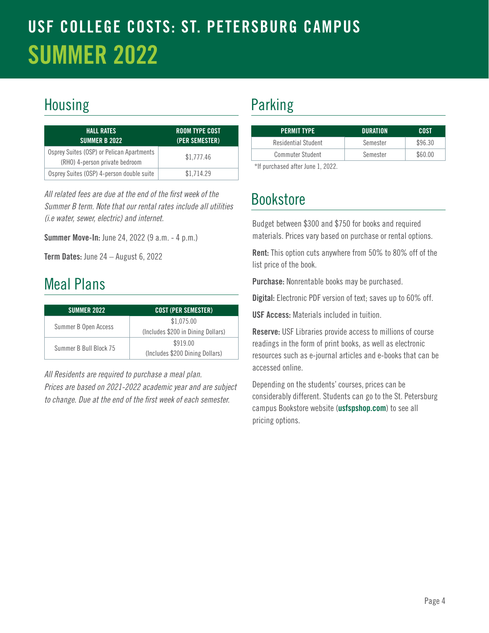## USF COLLEGE COSTS: ST. PETERSBURG CAMPUS SUMMER 2022

### Housing **Parking**

| <b>HALL RATES</b><br><b>SUMMER B 2022</b>                                   | ROOM TYPE COST<br>(PER SEMESTER) |
|-----------------------------------------------------------------------------|----------------------------------|
| Osprey Suites (OSP) or Pelican Apartments<br>(RHO) 4-person private bedroom | \$1.777.46                       |
| Osprey Suites (OSP) 4-person double suite                                   | \$1.714.29                       |

*All related fees are due at the end of the first week of the Summer B term. Note that our rental rates include all utilities (i.e water, sewer, electric) and internet.* 

Summer Move-In: June 24, 2022 (9 a.m. - 4 p.m.)

Term Dates: June 24 - August 6, 2022

#### Meal Plans

| <b>SUMMER 2022</b>     | <b>COST (PER SEMESTER)</b>                       |
|------------------------|--------------------------------------------------|
| Summer B Open Access   | \$1,075.00<br>(Includes \$200 in Dining Dollars) |
| Summer B Bull Block 75 | \$919.00<br>(Includes \$200 Dining Dollars)      |

*All Residents are required to purchase a meal plan. Prices are based on 2021-2022 academic year and are subject to change. Due at the end of the first week of each semester.*

| <b>PERMIT TYPE</b>                    | <b>DURATION</b> | COST    |
|---------------------------------------|-----------------|---------|
| Residential Student                   | Semester        | \$96.30 |
| <b>Commuter Student</b>               | Semester        | \$60.00 |
| $*1.$ $$ cheap and after $$ $1.$ 0000 |                 |         |

\*If purchased after June 1, 2022.

## Bookstore

Budget between \$300 and \$750 for books and required materials. Prices vary based on purchase or rental options.

Rent: This option cuts anywhere from 50% to 80% off of the list price of the book.

Purchase: Nonrentable books may be purchased.

Digital: Electronic PDF version of text; saves up to 60% off.

USF Access: Materials included in tuition.

Reserve: USF Libraries provide access to millions of course readings in the form of print books, as well as electronic resources such as e-journal articles and e-books that can be accessed online.

Depending on the students' courses, prices can be considerably different. Students can go to the St. Petersburg campus Bookstore website ([usfspshop.com](http://usfspshop.com)) to see all pricing options.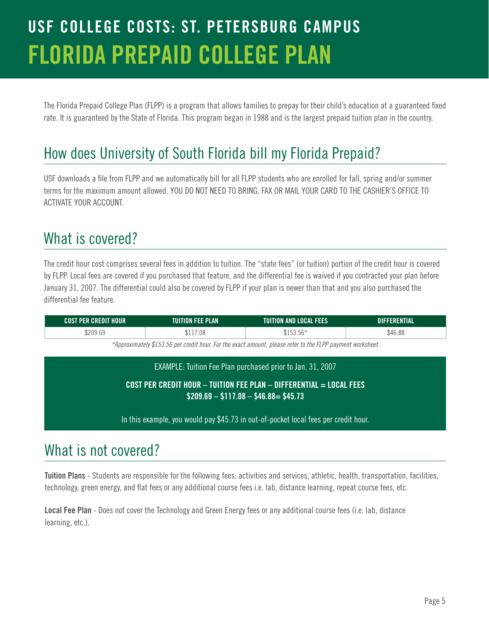## USF COLLEGE COSTS: ST. PETERSBURG CAMPUS FLORIDA PREPAID COLLEGE PLAN

The Florida Prepaid College Plan (FLPP) is a program that allows families to prepay for their child's education at a guaranteed fixed rate. It is guaranteed by the State of Florida. This program began in 1988 and is the largest prepaid tuition plan in the country.

#### How does University of South Florida bill my Florida Prepaid?

USF downloads a file from FLPP and we automatically bill for all FLPP students who are enrolled for fall, spring and/or summer terms for the maximum amount allowed. YOU DO NOT NEED TO BRING, FAX OR MAIL YOUR CARD TO THE CASHIER'S OFFICE TO ACTIVATE YOUR ACCOUNT.

#### What is covered?

The credit hour cost comprises several fees in addition to tuition. The "state fees" (or tuition) portion of the credit hour is covered by FLPP. Local fees are covered if you purchased that feature, and the differential fee is waived if you contracted your plan before January 31, 2007. The differential could also be covered by FLPP if your plan is newer than that and you also purchased the differential fee feature.

| <b>COST PER CREDIT HOUR</b> | TUITION FEE PLAN | TUIT<br>IITION AND LOCAL FEES'               | RENTIAL<br>DIFF |
|-----------------------------|------------------|----------------------------------------------|-----------------|
| \$209.69                    | \$117.08         | $F \wedge L$<br><b>¢152</b><br>hh<br>ATAA'AA | \$46.88         |

*\*Approximately \$153.56 per credit hour. For the exact amount, please refer to the FLPP payment worksheet.*

| EXAMPLE: Tuition Fee Plan purchased prior to Jan. 31, 2007                                                   |  |
|--------------------------------------------------------------------------------------------------------------|--|
| COST PER CREDIT HOUR - TUITION FEE PLAN - DIFFERENTIAL = LOCAL FEES<br>$$209.69 - $117.08 - $46.88 = $45.73$ |  |
| In this example, you would pay \$45.73 in out-of-pocket local fees per credit hour.                          |  |

#### What is not covered?

Tuition Plans - Students are responsible for the following fees: activities and services, athletic, health, transportation, facilities, technology, green energy, and flat fees or any additional course fees i.e. lab, distance learning, repeat course fees, etc.

Local Fee Plan - Does not cover the Technology and Green Energy fees or any additional course fees (i.e. lab, distance learning, etc.).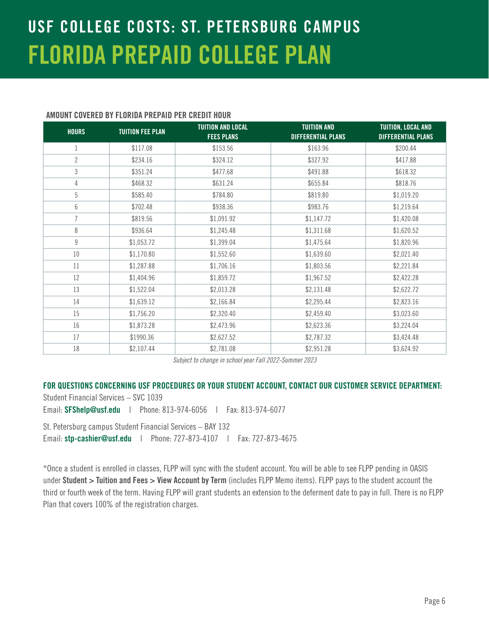## USF COLLEGE COSTS: ST. PETERSBURG CAMPUS FLORIDA PREPAID COLLEGE PLAN

#### AMOUNT COVERED BY FLORIDA PREPAID PER CREDIT HOUR

| <b>HOURS</b>   | <b>TUITION FEE PLAN</b> | <b>TUITION AND LOCAL</b><br><b>FEES PLANS</b> | <b>TUITION AND</b><br><b>DIFFERENTIAL PLANS</b> | TUITION, LOCAL AND<br><b>DIFFERENTIAL PLANS</b> |
|----------------|-------------------------|-----------------------------------------------|-------------------------------------------------|-------------------------------------------------|
| 1              | \$117.08                | \$153.56                                      | \$163.96                                        | \$200.44                                        |
| $\overline{2}$ | \$234.16                | \$324.12                                      | \$327.92                                        | \$417.88                                        |
| 3              | \$351.24                | \$477.68                                      | \$491.88                                        | \$618.32                                        |
| 4              | \$468.32                | \$631.24                                      | \$655.84                                        | \$818.76                                        |
| 5              | \$585.40                | \$784.80                                      | \$819.80                                        | \$1,019.20                                      |
| 6              | \$702.48                | \$938.36                                      | \$983.76                                        | \$1,219.64                                      |
| $\overline{7}$ | \$819.56                | \$1,091.92                                    | \$1,147.72                                      | \$1,420.08                                      |
| 8              | \$936.64                | \$1,245.48                                    | \$1,311.68                                      | \$1,620.52                                      |
| $\mathsf g$    | \$1,053.72              | \$1,399.04                                    | \$1,475.64                                      | \$1,820.96                                      |
| 10             | \$1,170.80              | \$1,552.60                                    | \$1,639.60                                      | \$2,021.40                                      |
| 11             | \$1,287.88              | \$1,706.16                                    | \$1,803.56                                      | \$2,221.84                                      |
| 12             | \$1,404.96              | \$1,859.72                                    | \$1,967.52                                      | \$2,422.28                                      |
| 13             | \$1,522.04              | \$2,013.28                                    | \$2,131.48                                      | \$2,622.72                                      |
| 14             | \$1,639.12              | \$2,166.84                                    | \$2,295.44                                      | \$2,823.16                                      |
| 15             | \$1,756.20              | \$2,320.40                                    | \$2,459.40                                      | \$3,023.60                                      |
| 16             | \$1,873.28              | \$2,473.96                                    | \$2,623.36                                      | \$3,224.04                                      |
| 17             | \$1990.36               | \$2,627.52                                    | \$2,787.32                                      | \$3,424.48                                      |
| 18             | \$2,107.44              | \$2,781.08                                    | \$2,951.28                                      | \$3,624.92                                      |

*Subject to change in school year Fall 2022-Summer 2023*

#### FOR QUESTIONS CONCERNING USF PROCEDURES OR YOUR STUDENT ACCOUNT, CONTACT OUR CUSTOMER SERVICE DEPARTMENT:

Student Financial Services – SVC 1039 Email: [SFShelp@usf.edu](mailto:SFShelp@usf.edu) | Phone: 813-974-6056 | Fax: 813-974-6077

St. Petersburg campus Student Financial Services – BAY 132 Email: [stp-cashier@usf.edu](mailto:stp-cashier%40usf.edu?subject=) | Phone: 727-873-4107 | Fax: 727-873-4675

\*Once a student is enrolled in classes, FLPP will sync with the student account. You will be able to see FLPP pending in OASIS under Student > Tuition and Fees > View Account by Term (includes FLPP Memo items). FLPP pays to the student account the third or fourth week of the term. Having FLPP will grant students an extension to the deferment date to pay in full. There is no FLPP Plan that covers 100% of the registration charges.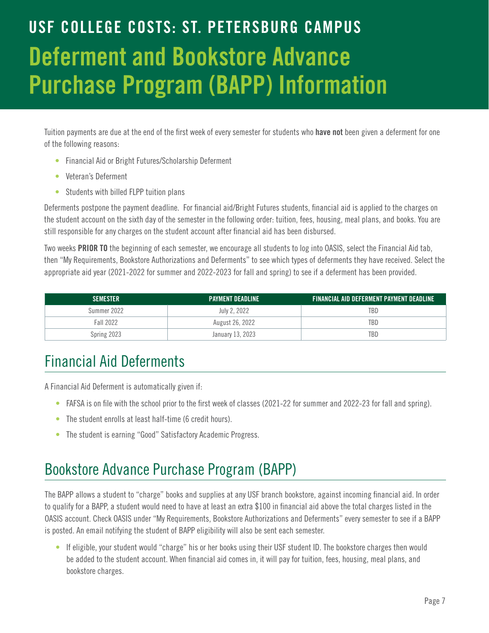# USF COLLEGE COSTS: ST. PETERSBURG CAMPUS Deferment and Bookstore Advance Purchase Program (BAPP) Information

Tuition payments are due at the end of the first week of every semester for students who have not been given a deferment for one of the following reasons:

- Financial Aid or Bright Futures/Scholarship Deferment
- Veteran's Deferment
- Students with billed FLPP tuition plans

Deferments postpone the payment deadline. For financial aid/Bright Futures students, financial aid is applied to the charges on the student account on the sixth day of the semester in the following order: tuition, fees, housing, meal plans, and books. You are still responsible for any charges on the student account after financial aid has been disbursed.

Two weeks PRIOR TO the beginning of each semester, we encourage all students to log into OASIS, select the Financial Aid tab, then "My Requirements, Bookstore Authorizations and Deferments" to see which types of deferments they have received. Select the appropriate aid year (2021-2022 for summer and 2022-2023 for fall and spring) to see if a deferment has been provided.

| <b>SEMESTER</b> | <b>PAYMENT DEADLINE</b> | <b>FINANCIAL AID DEFERMENT PAYMENT DEADLINE</b> |
|-----------------|-------------------------|-------------------------------------------------|
| Summer 2022     | July 2, 2022            | TBD                                             |
| Fall 2022       | August 26, 2022         | TBD                                             |
| Spring 2023     | January 13, 2023        | TBD                                             |

### Financial Aid Deferments

A Financial Aid Deferment is automatically given if:

- FAFSA is on file with the school prior to the first week of classes (2021-22 for summer and 2022-23 for fall and spring).
- The student enrolls at least half-time (6 credit hours).
- The student is earning "Good" Satisfactory Academic Progress.

### Bookstore Advance Purchase Program (BAPP)

The BAPP allows a student to "charge" books and supplies at any USF branch bookstore, against incoming financial aid. In order to qualify for a BAPP, a student would need to have at least an extra \$100 in financial aid above the total charges listed in the OASIS account. Check OASIS under "My Requirements, Bookstore Authorizations and Deferments" every semester to see if a BAPP is posted. An email notifying the student of BAPP eligibility will also be sent each semester.

• If eligible, your student would "charge" his or her books using their USF student ID. The bookstore charges then would be added to the student account. When financial aid comes in, it will pay for tuition, fees, housing, meal plans, and bookstore charges.